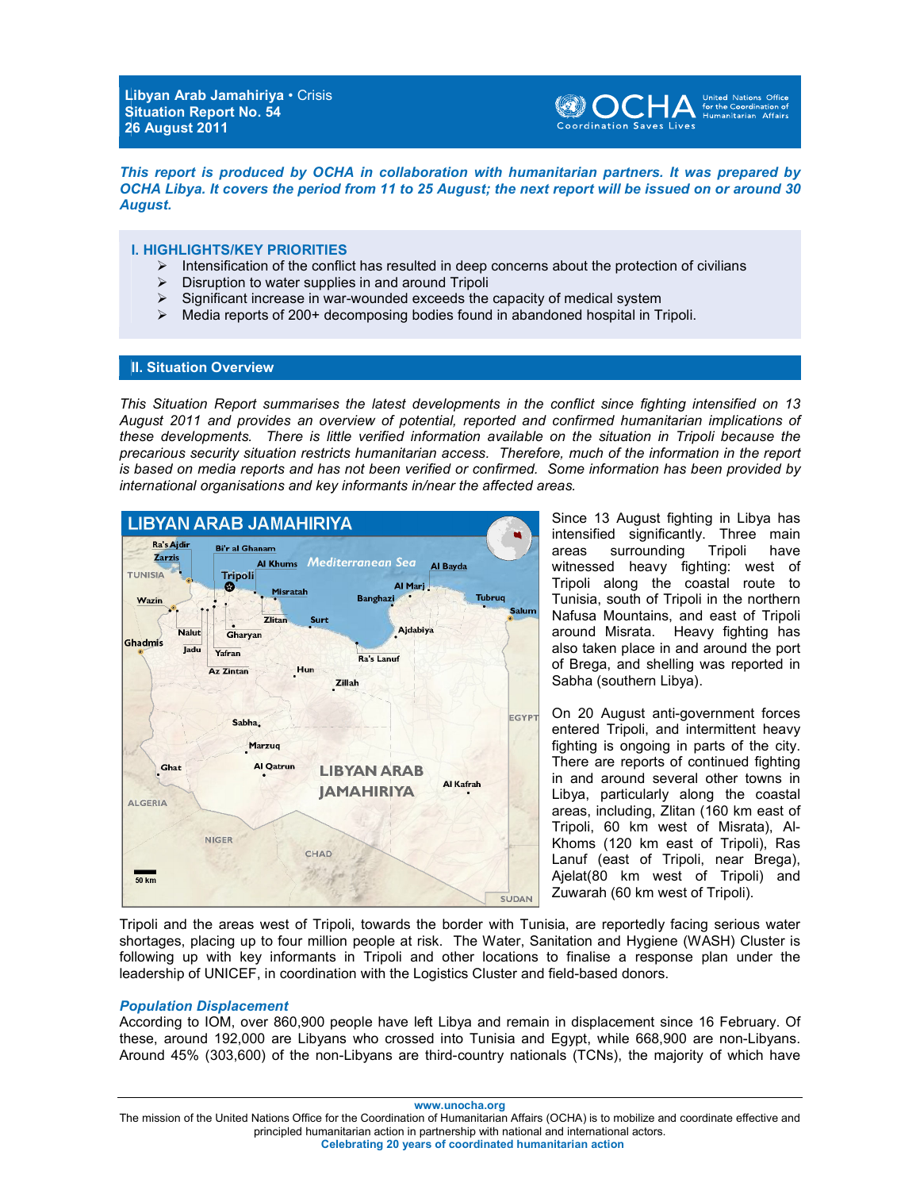**Libyan Arab Jamahiriya** • Crisis **Situation Report No. 54 26 August 2011** 



*This report is produced by OCHA in collaboration with humanitarian partners. It was prepared by OCHA Libya. It covers the period from 11 to 25 August; the next report will be issued on or around 30 August.* 

### **I. HIGHLIGHTS/KEY PRIORITIES**

- $\triangleright$  Intensification of the conflict has resulted in deep concerns about the protection of civilians
- $\triangleright$  Disruption to water supplies in and around Tripoli
- $\triangleright$  Significant increase in war-wounded exceeds the capacity of medical system
- $\triangleright$  Media reports of 200+ decomposing bodies found in abandoned hospital in Tripoli.

# **II. Situation Overview**

*This Situation Report summarises the latest developments in the conflict since fighting intensified on 13 August 2011 and provides an overview of potential, reported and confirmed humanitarian implications of these developments. There is little verified information available on the situation in Tripoli because the precarious security situation restricts humanitarian access. Therefore, much of the information in the report is based on media reports and has not been verified or confirmed. Some information has been provided by international organisations and key informants in/near the affected areas.*



Since 13 August fighting in Libya has intensified significantly. Three main areas surrounding Tripoli have witnessed heavy fighting: west of Tripoli along the coastal route to Tunisia, south of Tripoli in the northern Nafusa Mountains, and east of Tripoli around Misrata. Heavy fighting has also taken place in and around the port of Brega, and shelling was reported in Sabha (southern Libya).

On 20 August anti-government forces entered Tripoli, and intermittent heavy fighting is ongoing in parts of the city. There are reports of continued fighting in and around several other towns in Libya, particularly along the coastal areas, including, Zlitan (160 km east of Tripoli, 60 km west of Misrata), Al-Khoms (120 km east of Tripoli), Ras Lanuf (east of Tripoli, near Brega), Ajelat(80 km west of Tripoli) and Zuwarah (60 km west of Tripoli).

Tripoli and the areas west of Tripoli, towards the border with Tunisia, are reportedly facing serious water shortages, placing up to four million people at risk. The Water, Sanitation and Hygiene (WASH) Cluster is following up with key informants in Tripoli and other locations to finalise a response plan under the leadership of UNICEF, in coordination with the Logistics Cluster and field-based donors.

#### *Population Displacement*

According to IOM, over 860,900 people have left Libya and remain in displacement since 16 February. Of these, around 192,000 are Libyans who crossed into Tunisia and Egypt, while 668,900 are non-Libyans. Around 45% (303,600) of the non-Libyans are third-country nationals (TCNs), the majority of which have

**www.unocha.org** 

The mission of the United Nations Office for the Coordination of Humanitarian Affairs (OCHA) is to mobilize and coordinate effective and principled humanitarian action in partnership with national and international actors. **Celebrating 20 years of coordinated humanitarian action**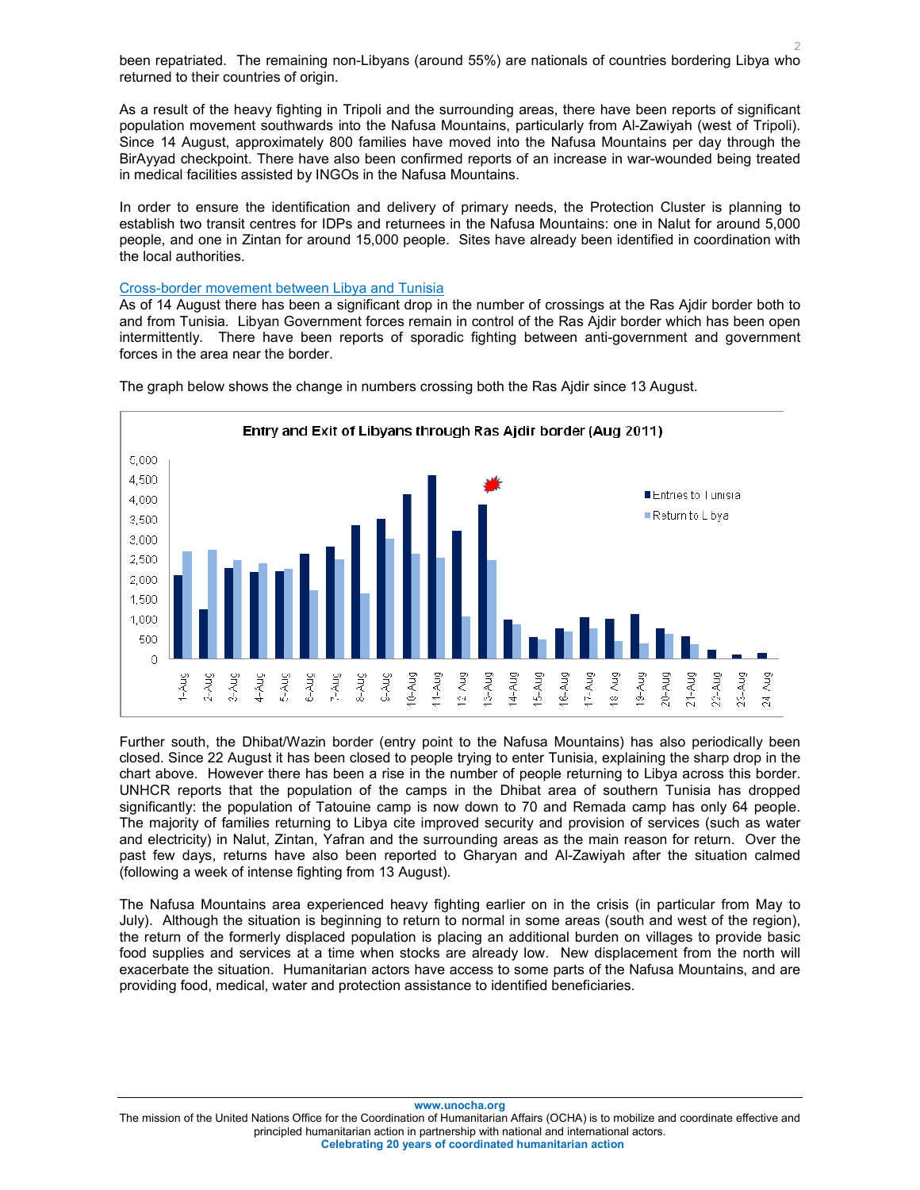2 been repatriated. The remaining non-Libyans (around 55%) are nationals of countries bordering Libya who returned to their countries of origin.

As a result of the heavy fighting in Tripoli and the surrounding areas, there have been reports of significant population movement southwards into the Nafusa Mountains, particularly from Al-Zawiyah (west of Tripoli). Since 14 August, approximately 800 families have moved into the Nafusa Mountains per day through the BirAyyad checkpoint. There have also been confirmed reports of an increase in war-wounded being treated in medical facilities assisted by INGOs in the Nafusa Mountains.

In order to ensure the identification and delivery of primary needs, the Protection Cluster is planning to establish two transit centres for IDPs and returnees in the Nafusa Mountains: one in Nalut for around 5,000 people, and one in Zintan for around 15,000 people. Sites have already been identified in coordination with the local authorities.

### Cross-border movement between Libya and Tunisia

As of 14 August there has been a significant drop in the number of crossings at the Ras Ajdir border both to and from Tunisia. Libyan Government forces remain in control of the Ras Ajdir border which has been open intermittently. There have been reports of sporadic fighting between anti-government and government forces in the area near the border.



The graph below shows the change in numbers crossing both the Ras Ajdir since 13 August.

Further south, the Dhibat/Wazin border (entry point to the Nafusa Mountains) has also periodically been closed. Since 22 August it has been closed to people trying to enter Tunisia, explaining the sharp drop in the chart above. However there has been a rise in the number of people returning to Libya across this border. UNHCR reports that the population of the camps in the Dhibat area of southern Tunisia has dropped significantly: the population of Tatouine camp is now down to 70 and Remada camp has only 64 people. The majority of families returning to Libya cite improved security and provision of services (such as water and electricity) in Nalut, Zintan, Yafran and the surrounding areas as the main reason for return. Over the past few days, returns have also been reported to Gharyan and Al-Zawiyah after the situation calmed (following a week of intense fighting from 13 August).

The Nafusa Mountains area experienced heavy fighting earlier on in the crisis (in particular from May to July). Although the situation is beginning to return to normal in some areas (south and west of the region), the return of the formerly displaced population is placing an additional burden on villages to provide basic food supplies and services at a time when stocks are already low. New displacement from the north will exacerbate the situation. Humanitarian actors have access to some parts of the Nafusa Mountains, and are providing food, medical, water and protection assistance to identified beneficiaries.

**www.unocha.org** 

The mission of the United Nations Office for the Coordination of Humanitarian Affairs (OCHA) is to mobilize and coordinate effective and principled humanitarian action in partnership with national and international actors. **Celebrating 20 years of coordinated humanitarian action**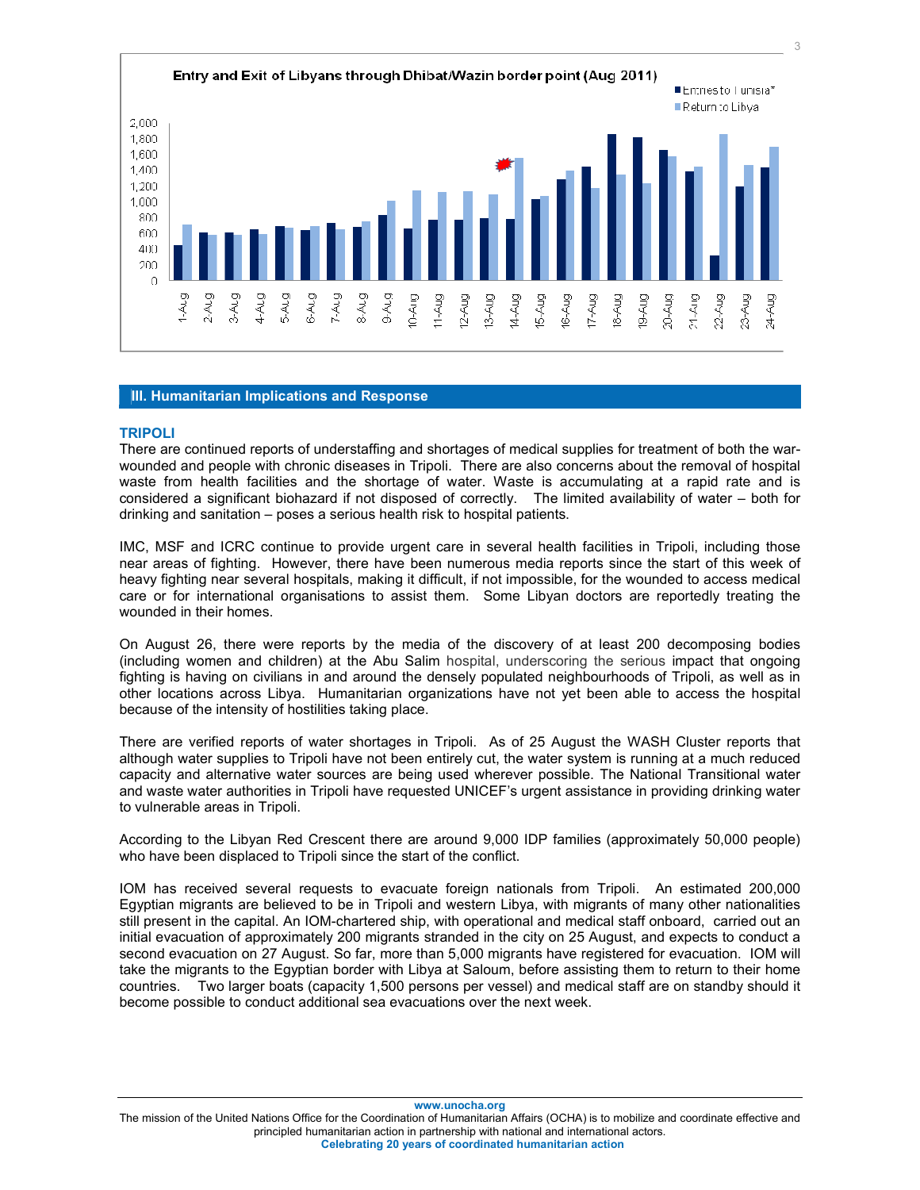

# **III. Humanitarian Implications and Response**

#### **TRIPOLI**

There are continued reports of understaffing and shortages of medical supplies for treatment of both the warwounded and people with chronic diseases in Tripoli. There are also concerns about the removal of hospital waste from health facilities and the shortage of water. Waste is accumulating at a rapid rate and is considered a significant biohazard if not disposed of correctly. The limited availability of water – both for drinking and sanitation – poses a serious health risk to hospital patients.

IMC, MSF and ICRC continue to provide urgent care in several health facilities in Tripoli, including those near areas of fighting. However, there have been numerous media reports since the start of this week of heavy fighting near several hospitals, making it difficult, if not impossible, for the wounded to access medical care or for international organisations to assist them. Some Libyan doctors are reportedly treating the wounded in their homes.

On August 26, there were reports by the media of the discovery of at least 200 decomposing bodies (including women and children) at the Abu Salim hospital, underscoring the serious impact that ongoing fighting is having on civilians in and around the densely populated neighbourhoods of Tripoli, as well as in other locations across Libya. Humanitarian organizations have not yet been able to access the hospital because of the intensity of hostilities taking place.

There are verified reports of water shortages in Tripoli. As of 25 August the WASH Cluster reports that although water supplies to Tripoli have not been entirely cut, the water system is running at a much reduced capacity and alternative water sources are being used wherever possible. The National Transitional water and waste water authorities in Tripoli have requested UNICEF's urgent assistance in providing drinking water to vulnerable areas in Tripoli.

According to the Libyan Red Crescent there are around 9,000 IDP families (approximately 50,000 people) who have been displaced to Tripoli since the start of the conflict.

IOM has received several requests to evacuate foreign nationals from Tripoli. An estimated 200,000 Egyptian migrants are believed to be in Tripoli and western Libya, with migrants of many other nationalities still present in the capital. An IOM-chartered ship, with operational and medical staff onboard, carried out an initial evacuation of approximately 200 migrants stranded in the city on 25 August, and expects to conduct a second evacuation on 27 August. So far, more than 5,000 migrants have registered for evacuation. IOM will take the migrants to the Egyptian border with Libya at Saloum, before assisting them to return to their home countries. Two larger boats (capacity 1,500 persons per vessel) and medical staff are on standby should it become possible to conduct additional sea evacuations over the next week.

**www.unocha.org** 

The mission of the United Nations Office for the Coordination of Humanitarian Affairs (OCHA) is to mobilize and coordinate effective and principled humanitarian action in partnership with national and international actors. **Celebrating 20 years of coordinated humanitarian action**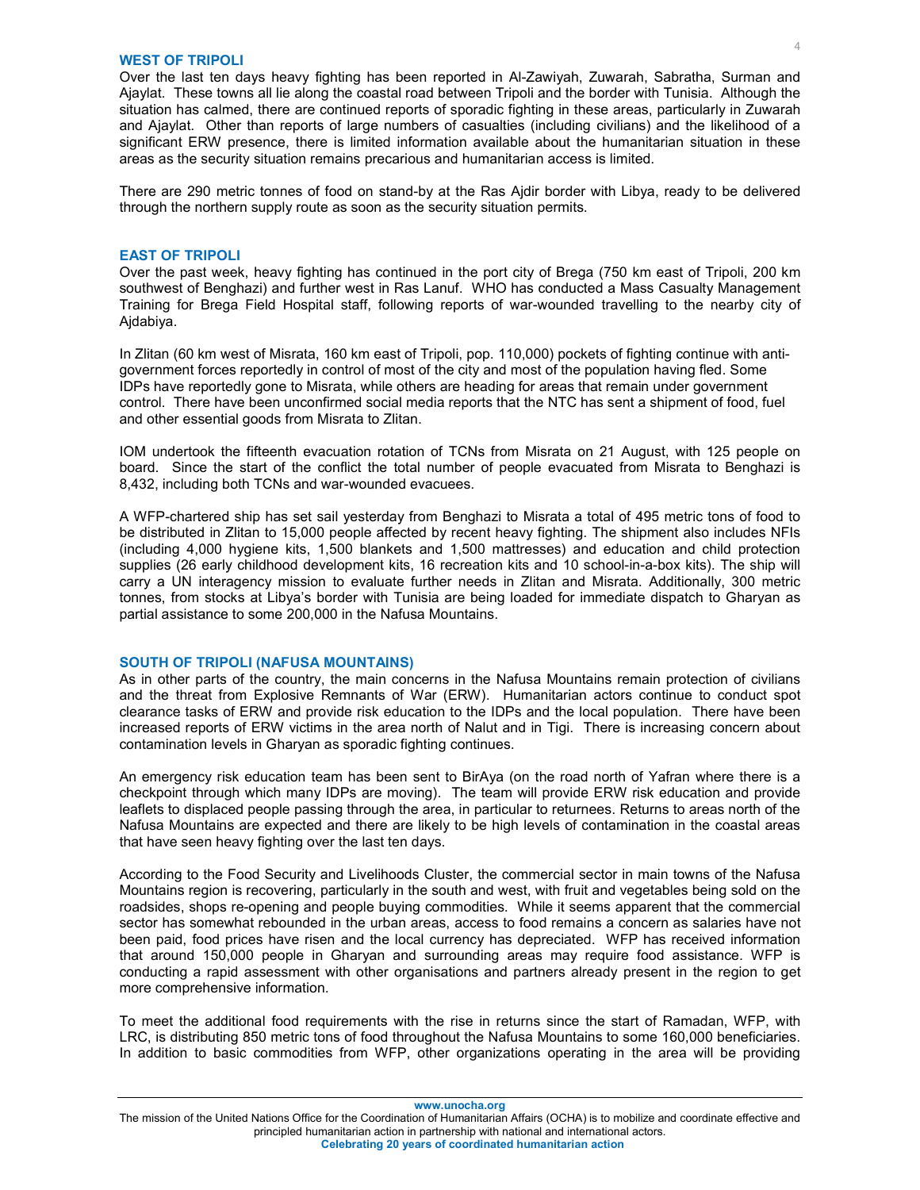#### **WEST OF TRIPOLI**

Over the last ten days heavy fighting has been reported in Al-Zawiyah, Zuwarah, Sabratha, Surman and Ajaylat. These towns all lie along the coastal road between Tripoli and the border with Tunisia. Although the situation has calmed, there are continued reports of sporadic fighting in these areas, particularly in Zuwarah and Ajaylat. Other than reports of large numbers of casualties (including civilians) and the likelihood of a significant ERW presence, there is limited information available about the humanitarian situation in these areas as the security situation remains precarious and humanitarian access is limited.

There are 290 metric tonnes of food on stand-by at the Ras Ajdir border with Libya, ready to be delivered through the northern supply route as soon as the security situation permits.

### **EAST OF TRIPOLI**

Over the past week, heavy fighting has continued in the port city of Brega (750 km east of Tripoli, 200 km southwest of Benghazi) and further west in Ras Lanuf. WHO has conducted a Mass Casualty Management Training for Brega Field Hospital staff, following reports of war-wounded travelling to the nearby city of Ajdabiya.

In Zlitan (60 km west of Misrata, 160 km east of Tripoli, pop. 110,000) pockets of fighting continue with antigovernment forces reportedly in control of most of the city and most of the population having fled. Some IDPs have reportedly gone to Misrata, while others are heading for areas that remain under government control. There have been unconfirmed social media reports that the NTC has sent a shipment of food, fuel and other essential goods from Misrata to Zlitan.

IOM undertook the fifteenth evacuation rotation of TCNs from Misrata on 21 August, with 125 people on board. Since the start of the conflict the total number of people evacuated from Misrata to Benghazi is 8,432, including both TCNs and war-wounded evacuees.

A WFP-chartered ship has set sail yesterday from Benghazi to Misrata a total of 495 metric tons of food to be distributed in Zlitan to 15,000 people affected by recent heavy fighting. The shipment also includes NFIs (including 4,000 hygiene kits, 1,500 blankets and 1,500 mattresses) and education and child protection supplies (26 early childhood development kits, 16 recreation kits and 10 school-in-a-box kits). The ship will carry a UN interagency mission to evaluate further needs in Zlitan and Misrata. Additionally, 300 metric tonnes, from stocks at Libya's border with Tunisia are being loaded for immediate dispatch to Gharyan as partial assistance to some 200,000 in the Nafusa Mountains.

#### **SOUTH OF TRIPOLI (NAFUSA MOUNTAINS)**

As in other parts of the country, the main concerns in the Nafusa Mountains remain protection of civilians and the threat from Explosive Remnants of War (ERW). Humanitarian actors continue to conduct spot clearance tasks of ERW and provide risk education to the IDPs and the local population. There have been increased reports of ERW victims in the area north of Nalut and in Tigi. There is increasing concern about contamination levels in Gharyan as sporadic fighting continues.

An emergency risk education team has been sent to BirAya (on the road north of Yafran where there is a checkpoint through which many IDPs are moving). The team will provide ERW risk education and provide leaflets to displaced people passing through the area, in particular to returnees. Returns to areas north of the Nafusa Mountains are expected and there are likely to be high levels of contamination in the coastal areas that have seen heavy fighting over the last ten days.

According to the Food Security and Livelihoods Cluster, the commercial sector in main towns of the Nafusa Mountains region is recovering, particularly in the south and west, with fruit and vegetables being sold on the roadsides, shops re-opening and people buying commodities. While it seems apparent that the commercial sector has somewhat rebounded in the urban areas, access to food remains a concern as salaries have not been paid, food prices have risen and the local currency has depreciated. WFP has received information that around 150,000 people in Gharyan and surrounding areas may require food assistance. WFP is conducting a rapid assessment with other organisations and partners already present in the region to get more comprehensive information.

To meet the additional food requirements with the rise in returns since the start of Ramadan, WFP, with LRC, is distributing 850 metric tons of food throughout the Nafusa Mountains to some 160,000 beneficiaries. In addition to basic commodities from WFP, other organizations operating in the area will be providing

**www.unocha.org** 

The mission of the United Nations Office for the Coordination of Humanitarian Affairs (OCHA) is to mobilize and coordinate effective and principled humanitarian action in partnership with national and international actors. **Celebrating 20 years of coordinated humanitarian action**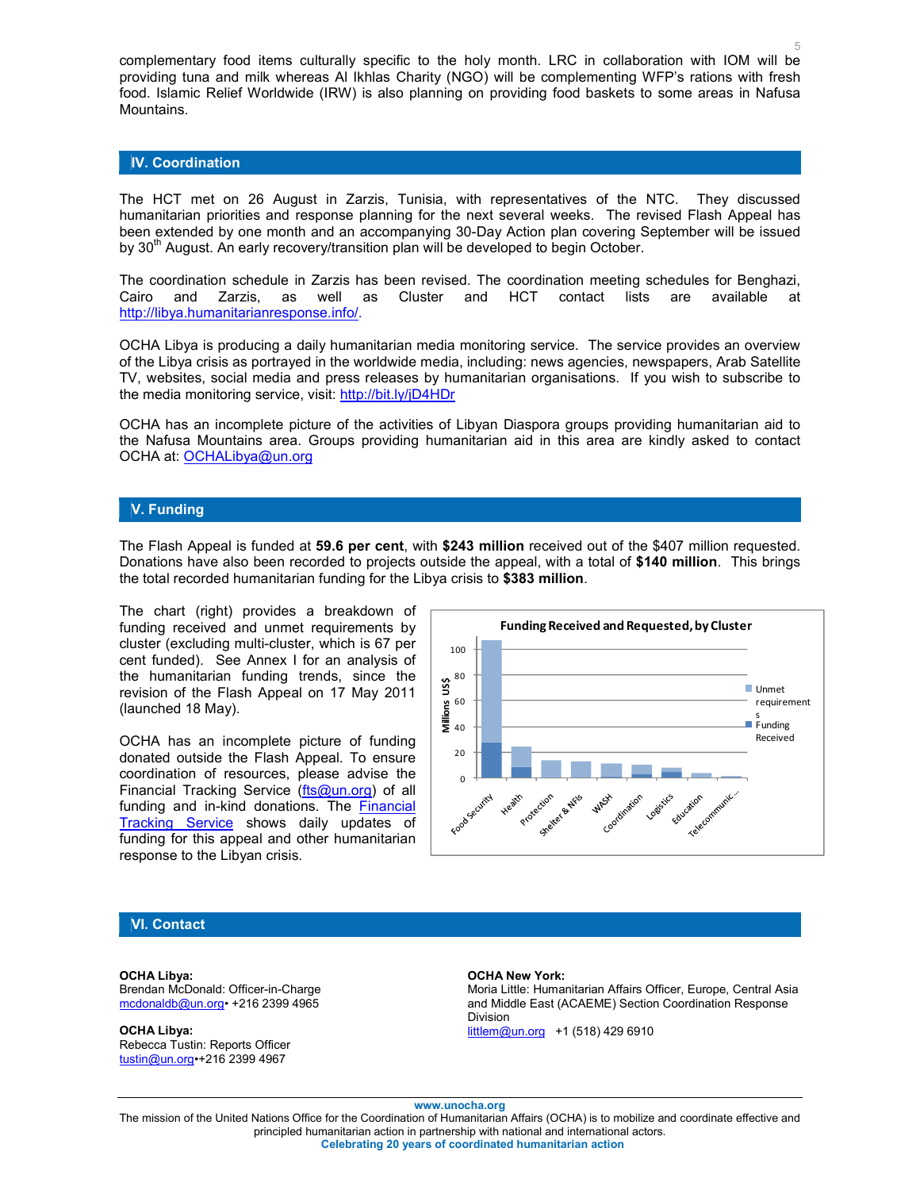complementary food items culturally specific to the holy month. LRC in collaboration with IOM will be providing tuna and milk whereas Al Ikhlas Charity (NGO) will be complementing WFP's rations with fresh food. Islamic Relief Worldwide (IRW) is also planning on providing food baskets to some areas in Nafusa Mountains.

### **IV. Coordination**

The HCT met on 26 August in Zarzis, Tunisia, with representatives of the NTC. They discussed humanitarian priorities and response planning for the next several weeks. The revised Flash Appeal has been extended by one month and an accompanying 30-Day Action plan covering September will be issued by 30<sup>th</sup> August. An early recovery/transition plan will be developed to begin October.

The coordination schedule in Zarzis has been revised. The coordination meeting schedules for Benghazi, Cairo and Zarzis, as well as Cluster and HCT contact lists are available at http://libya.humanitarianresponse.info/.

OCHA Libya is producing a daily humanitarian media monitoring service. The service provides an overview of the Libya crisis as portrayed in the worldwide media, including: news agencies, newspapers, Arab Satellite TV, websites, social media and press releases by humanitarian organisations. If you wish to subscribe to the media monitoring service, visit: http://bit.ly/jD4HDr

OCHA has an incomplete picture of the activities of Libyan Diaspora groups providing humanitarian aid to the Nafusa Mountains area. Groups providing humanitarian aid in this area are kindly asked to contact OCHA at: OCHALibya@un.org

## **V. Funding**

The Flash Appeal is funded at **59.6 per cent**, with **\$243 million** received out of the \$407 million requested. Donations have also been recorded to projects outside the appeal, with a total of **\$140 million**. This brings the total recorded humanitarian funding for the Libya crisis to **\$383 million**.

The chart (right) provides a breakdown of funding received and unmet requirements by cluster (excluding multi-cluster, which is 67 per cent funded). See Annex I for an analysis of the humanitarian funding trends, since the revision of the Flash Appeal on 17 May 2011 (launched 18 May).

OCHA has an incomplete picture of funding donated outside the Flash Appeal. To ensure coordination of resources, please advise the Financial Tracking Service (fts@un.org) of all funding and in-kind donations. The Financial Tracking Service shows daily updates of funding for this appeal and other humanitarian response to the Libyan crisis.



#### **VI. Contact**

**OCHA Libya:** Brendan McDonald: Officer-in-Charge mcdonaldb@un.org• +216 2399 4965

**OCHA Libya:**  Rebecca Tustin: Reports Officer tustin@un.org•+216 2399 4967

#### **OCHA New York:**

Moria Little: Humanitarian Affairs Officer, Europe, Central Asia and Middle East (ACAEME) Section Coordination Response Division littlem@un.org +1 (518) 429 6910

**www.unocha.org** 

The mission of the United Nations Office for the Coordination of Humanitarian Affairs (OCHA) is to mobilize and coordinate effective and principled humanitarian action in partnership with national and international actors. **Celebrating 20 years of coordinated humanitarian action**